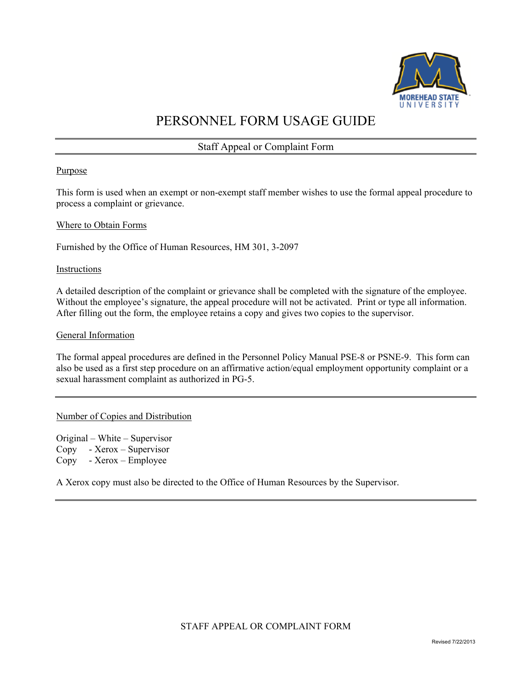

# PERSONNEL FORM USAGE GUIDE

Staff Appeal or Complaint Form

# Purpose

This form is used when an exempt or non-exempt staff member wishes to use the formal appeal procedure to process a complaint or grievance.

#### Where to Obtain Forms

Furnished by the Office of Human Resources, HM 301, 3-2097

#### **Instructions**

A detailed description of the complaint or grievance shall be completed with the signature of the employee. Without the employee's signature, the appeal procedure will not be activated. Print or type all information. After filling out the form, the employee retains a copy and gives two copies to the supervisor.

#### General Information

The formal appeal procedures are defined in the Personnel Policy Manual PSE-8 or PSNE-9. This form can also be used as a first step procedure on an affirmative action/equal employment opportunity complaint or a sexual harassment complaint as authorized in PG-5.

# Number of Copies and Distribution

Original – White – Supervisor Copy - Xerox – Supervisor Copy - Xerox – Employee

A Xerox copy must also be directed to the Office of Human Resources by the Supervisor.